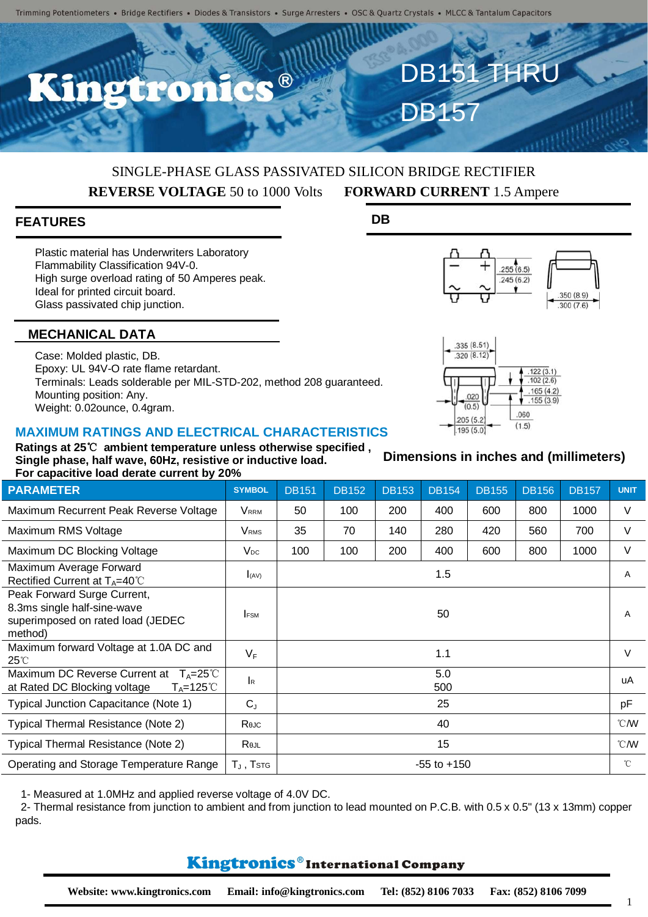$\bullet$  ®

# SINGLE-PHASE GLASS PASSIVATED SILICON BRIDGE RECTIFIER **REVERSE VOLTAGE** 50 to 1000 Volts **FORWARD CURRENT** 1.5 Ampere

## **FEATURES**

Plastic material has Underwriters Laboratory Flammability Classification 94V-0. High surge overload rating of 50 Amperes peak. Ideal for printed circuit board. Glass passivated chip junction.

### **MECHANICAL DATA**

Case: Molded plastic, DB. Epoxy: UL 94V-O rate flame retardant. Terminals: Leads solderable per MIL-STD-202, method 208 guaranteed. Mounting position: Any. Weight: 0.02ounce, 0.4gram.

#### **MAXIMUM RATINGS AND ELECTRICAL CHARACTERISTICS**

**Ratings at 25**℃ **ambient temperature unless otherwise specified , Single phase, half wave, 60Hz, resistive or inductive load. For capacitive load derate current by 20%**

| <b>PARAMETER</b>                                                                                           | <b>SYMBOL</b>                                         | <b>DB151</b>    | <b>DB152</b> | <b>DB153</b> | <b>DB154</b> | <b>DB155</b> | <b>DB156</b> | <b>DB157</b> | <b>UNIT</b>  |
|------------------------------------------------------------------------------------------------------------|-------------------------------------------------------|-----------------|--------------|--------------|--------------|--------------|--------------|--------------|--------------|
| Maximum Recurrent Peak Reverse Voltage                                                                     | VRRM                                                  | 50              | 100          | 200          | 400          | 600          | 800          | 1000         | V            |
| Maximum RMS Voltage                                                                                        | <b>V</b> <sub>RMS</sub>                               | 35              | 70           | 140          | 280          | 420          | 560          | 700          | V            |
| Maximum DC Blocking Voltage                                                                                | $V_{DC}$                                              | 100             | 100          | 200          | 400          | 600          | 800          | 1000         | V            |
| Maximum Average Forward<br>Rectified Current at $T_A=40^{\circ}$ C                                         | I(AV)                                                 | 1.5             |              |              |              |              |              |              | A            |
| Peak Forward Surge Current,<br>8.3ms single half-sine-wave<br>superimposed on rated load (JEDEC<br>method) | <b>FSM</b>                                            | 50              |              |              |              |              |              |              | A            |
| Maximum forward Voltage at 1.0A DC and<br>$25^{\circ}$                                                     | $V_F$                                                 | 1.1             |              |              |              |              |              |              | $\vee$       |
| Maximum DC Reverse Current at $T_A = 25^{\circ}$ C<br>at Rated DC Blocking voltage<br>$T_A = 125^{\circ}C$ | $\mathsf{I}_{\mathsf{R}}$                             | 5.0<br>500      |              |              |              |              |              |              | uA           |
| Typical Junction Capacitance (Note 1)                                                                      | $C_{J}$                                               | 25              |              |              |              |              |              |              | pF           |
| Typical Thermal Resistance (Note 2)                                                                        | Rejc                                                  | 40              |              |              |              |              |              |              | °CM          |
| Typical Thermal Resistance (Note 2)                                                                        | Rejl                                                  | 15              |              |              |              |              |              |              | °CM          |
| Operating and Storage Temperature Range                                                                    | $T_{\scriptscriptstyle\mathsf{J}}$ , $\mathsf{T}$ stg | $-55$ to $+150$ |              |              |              |              |              |              | $^{\circ}$ C |

1- Measured at 1.0MHz and applied reverse voltage of 4.0V DC.

2- Thermal resistance from junction to ambient and from junction to lead mounted on P.C.B. with 0.5 x 0.5" (13 x 13mm) copper pads.

### **Kingtronics**®International Company

**DB**





DB151 THRU

DB157



**Dimensions in inches and (millimeters)**